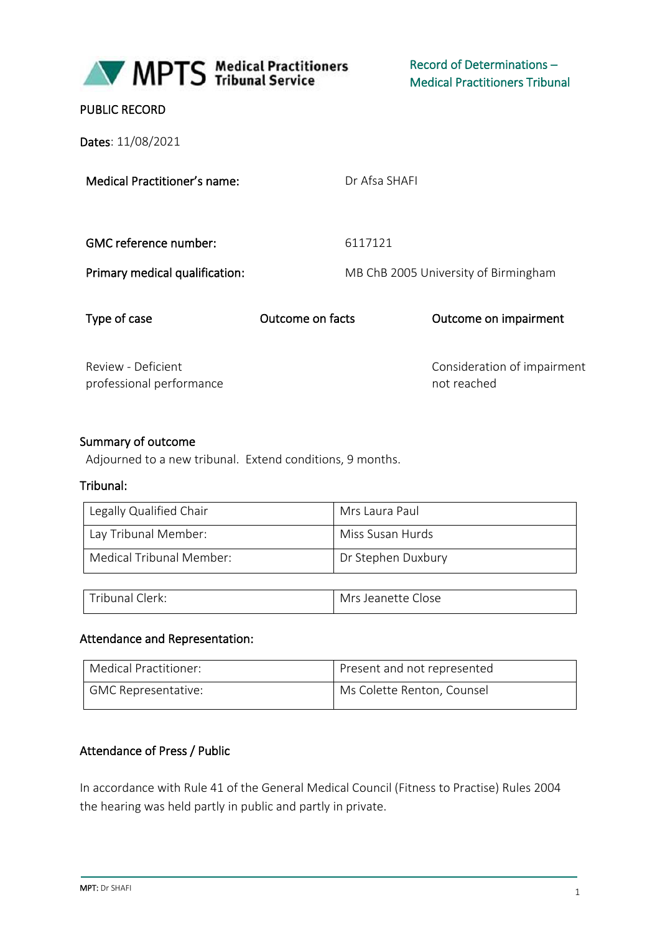

Record of Determinations – Medical Practitioners Tribunal

### PUBLIC RECORD

Dates: 11/08/2021

Medical Practitioner's name:

Dr Afsa SHAFI

GMC reference number: 6117121

Primary medical qualification: MB ChB 2005 University of Birmingham

Type of case Outcome on facts Outcome on impairment

Review - Deficient professional performance Consideration of impairment not reached

#### Summary of outcome

Adjourned to a new tribunal. Extend conditions, 9 months.

#### Tribunal:

| Legally Qualified Chair  | Mrs Laura Paul     |
|--------------------------|--------------------|
| Lay Tribunal Member:     | Miss Susan Hurds   |
| Medical Tribunal Member: | Dr Stephen Duxbury |

| Tribunal Clerk: | Mrs Jeanette Close |
|-----------------|--------------------|

#### Attendance and Representation:

| Medical Practitioner: | Present and not represented |
|-----------------------|-----------------------------|
| GMC Representative:   | Ms Colette Renton, Counsel  |

#### Attendance of Press / Public

In accordance with Rule 41 of the General Medical Council (Fitness to Practise) Rules 2004 the hearing was held partly in public and partly in private.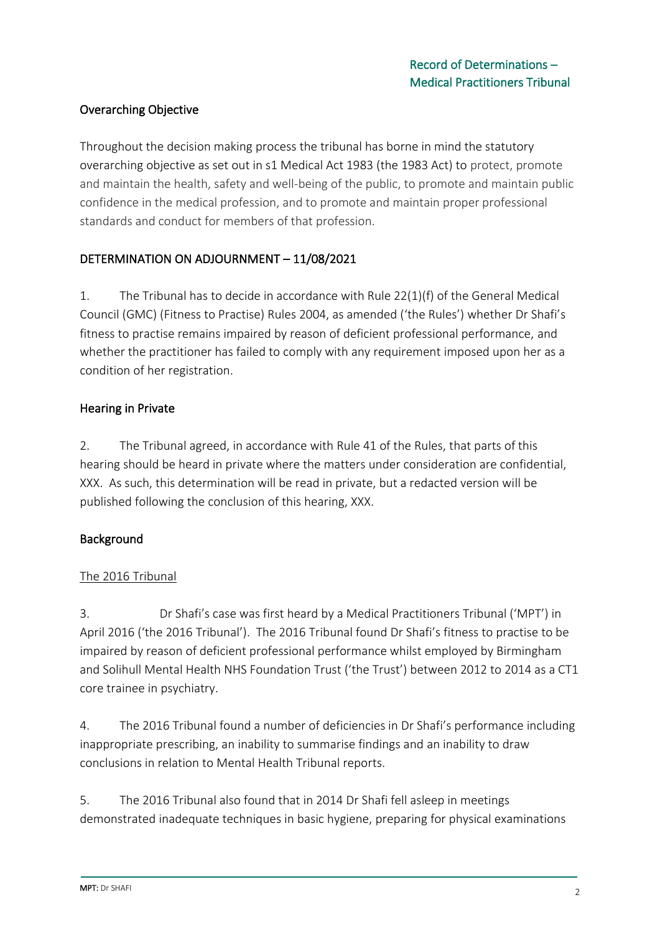# Overarching Objective

Throughout the decision making process the tribunal has borne in mind the statutory overarching objective as set out in s1 Medical Act 1983 (the 1983 Act) to protect, promote and maintain the health, safety and well-being of the public, to promote and maintain public confidence in the medical profession, and to promote and maintain proper professional standards and conduct for members of that profession.

# DETERMINATION ON ADJOURNMENT – 11/08/2021

1. The Tribunal has to decide in accordance with Rule 22(1)(f) of the General Medical Council (GMC) (Fitness to Practise) Rules 2004, as amended ('the Rules') whether Dr Shafi's fitness to practise remains impaired by reason of deficient professional performance, and whether the practitioner has failed to comply with any requirement imposed upon her as a condition of her registration.

## Hearing in Private

2. The Tribunal agreed, in accordance with Rule 41 of the Rules, that parts of this hearing should be heard in private where the matters under consideration are confidential, XXX. As such, this determination will be read in private, but a redacted version will be published following the conclusion of this hearing, XXX.

## Background

# The 2016 Tribunal

3. Dr Shafi's case was first heard by a Medical Practitioners Tribunal ('MPT') in April 2016 ('the 2016 Tribunal'). The 2016 Tribunal found Dr Shafi's fitness to practise to be impaired by reason of deficient professional performance whilst employed by Birmingham and Solihull Mental Health NHS Foundation Trust ('the Trust') between 2012 to 2014 as a CT1 core trainee in psychiatry.

4. The 2016 Tribunal found a number of deficiencies in Dr Shafi's performance including inappropriate prescribing, an inability to summarise findings and an inability to draw conclusions in relation to Mental Health Tribunal reports.

5. The 2016 Tribunal also found that in 2014 Dr Shafi fell asleep in meetings demonstrated inadequate techniques in basic hygiene, preparing for physical examinations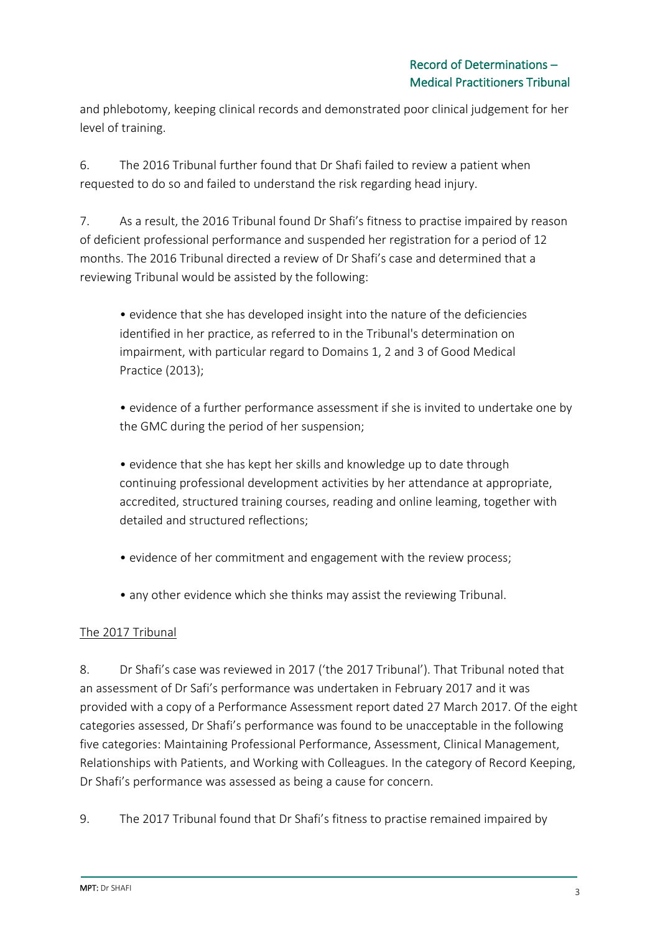and phlebotomy, keeping clinical records and demonstrated poor clinical judgement for her level of training.

6. The 2016 Tribunal further found that Dr Shafi failed to review a patient when requested to do so and failed to understand the risk regarding head injury.

7. As a result, the 2016 Tribunal found Dr Shafi's fitness to practise impaired by reason of deficient professional performance and suspended her registration for a period of 12 months. The 2016 Tribunal directed a review of Dr Shafi's case and determined that a reviewing Tribunal would be assisted by the following:

• evidence that she has developed insight into the nature of the deficiencies identified in her practice, as referred to in the Tribunal's determination on impairment, with particular regard to Domains 1, 2 and 3 of Good Medical Practice (2013);

• evidence of a further performance assessment if she is invited to undertake one by the GMC during the period of her suspension;

• evidence that she has kept her skills and knowledge up to date through continuing professional development activities by her attendance at appropriate, accredited, structured training courses, reading and online leaming, together with detailed and structured reflections;

- evidence of her commitment and engagement with the review process;
- any other evidence which she thinks may assist the reviewing Tribunal.

## The 2017 Tribunal

8. Dr Shafi's case was reviewed in 2017 ('the 2017 Tribunal'). That Tribunal noted that an assessment of Dr Safi's performance was undertaken in February 2017 and it was provided with a copy of a Performance Assessment report dated 27 March 2017. Of the eight categories assessed, Dr Shafi's performance was found to be unacceptable in the following five categories: Maintaining Professional Performance, Assessment, Clinical Management, Relationships with Patients, and Working with Colleagues. In the category of Record Keeping, Dr Shafi's performance was assessed as being a cause for concern.

9. The 2017 Tribunal found that Dr Shafi's fitness to practise remained impaired by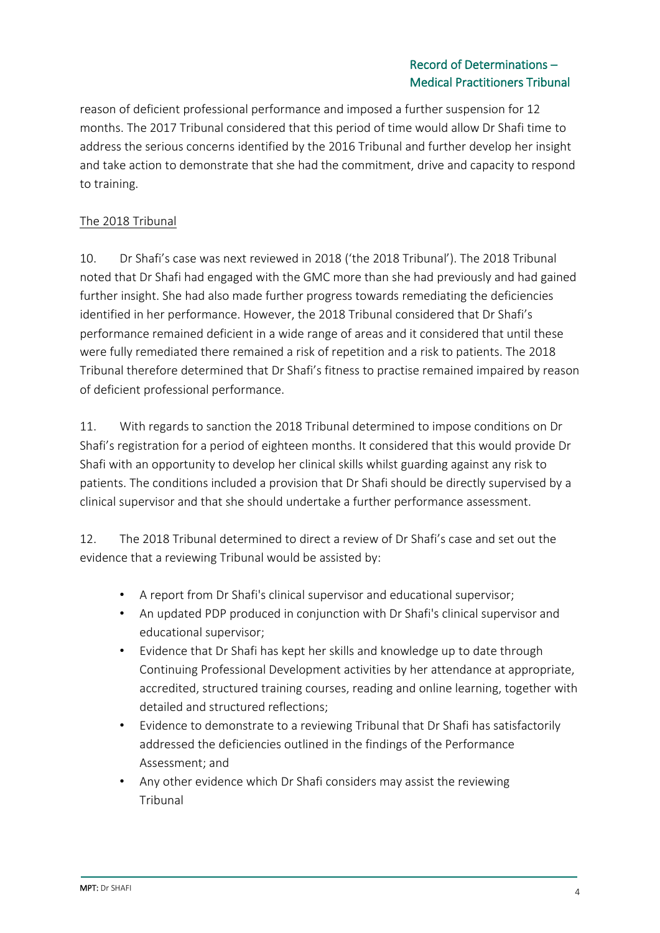### Record of Determinations – Medical Practitioners Tribunal

reason of deficient professional performance and imposed a further suspension for 12 months. The 2017 Tribunal considered that this period of time would allow Dr Shafi time to address the serious concerns identified by the 2016 Tribunal and further develop her insight and take action to demonstrate that she had the commitment, drive and capacity to respond to training.

# The 2018 Tribunal

10. Dr Shafi's case was next reviewed in 2018 ('the 2018 Tribunal'). The 2018 Tribunal noted that Dr Shafi had engaged with the GMC more than she had previously and had gained further insight. She had also made further progress towards remediating the deficiencies identified in her performance. However, the 2018 Tribunal considered that Dr Shafi's performance remained deficient in a wide range of areas and it considered that until these were fully remediated there remained a risk of repetition and a risk to patients. The 2018 Tribunal therefore determined that Dr Shafi's fitness to practise remained impaired by reason of deficient professional performance.

11. With regards to sanction the 2018 Tribunal determined to impose conditions on Dr Shafi's registration for a period of eighteen months. It considered that this would provide Dr Shafi with an opportunity to develop her clinical skills whilst guarding against any risk to patients. The conditions included a provision that Dr Shafi should be directly supervised by a clinical supervisor and that she should undertake a further performance assessment.

12. The 2018 Tribunal determined to direct a review of Dr Shafi's case and set out the evidence that a reviewing Tribunal would be assisted by:

- A report from Dr Shafi's clinical supervisor and educational supervisor;
- An updated PDP produced in conjunction with Dr Shafi's clinical supervisor and educational supervisor;
- Evidence that Dr Shafi has kept her skills and knowledge up to date through Continuing Professional Development activities by her attendance at appropriate, accredited, structured training courses, reading and online learning, together with detailed and structured reflections;
- Evidence to demonstrate to a reviewing Tribunal that Dr Shafi has satisfactorily addressed the deficiencies outlined in the findings of the Performance Assessment; and
- Any other evidence which Dr Shafi considers may assist the reviewing **Tribunal**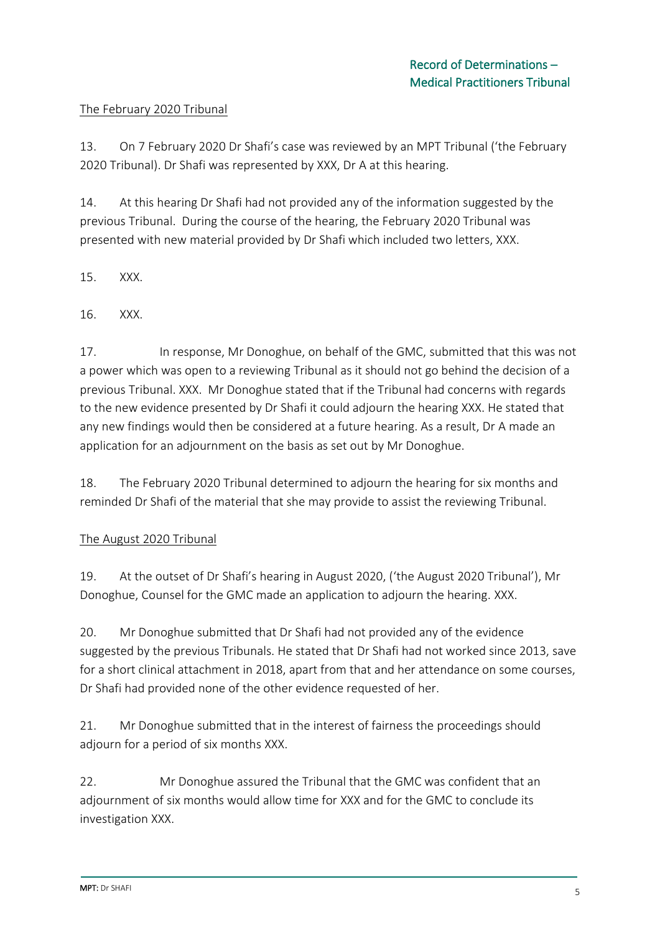#### The February 2020 Tribunal

13. On 7 February 2020 Dr Shafi's case was reviewed by an MPT Tribunal ('the February 2020 Tribunal). Dr Shafi was represented by XXX, Dr A at this hearing.

14. At this hearing Dr Shafi had not provided any of the information suggested by the previous Tribunal. During the course of the hearing, the February 2020 Tribunal was presented with new material provided by Dr Shafi which included two letters, XXX.

15. XXX.

16. XXX.

17. In response, Mr Donoghue, on behalf of the GMC, submitted that this was not a power which was open to a reviewing Tribunal as it should not go behind the decision of a previous Tribunal. XXX. Mr Donoghue stated that if the Tribunal had concerns with regards to the new evidence presented by Dr Shafi it could adjourn the hearing XXX. He stated that any new findings would then be considered at a future hearing. As a result, Dr A made an application for an adjournment on the basis as set out by Mr Donoghue.

18. The February 2020 Tribunal determined to adjourn the hearing for six months and reminded Dr Shafi of the material that she may provide to assist the reviewing Tribunal.

#### The August 2020 Tribunal

19. At the outset of Dr Shafi's hearing in August 2020, ('the August 2020 Tribunal'), Mr Donoghue, Counsel for the GMC made an application to adjourn the hearing. XXX.

20. Mr Donoghue submitted that Dr Shafi had not provided any of the evidence suggested by the previous Tribunals. He stated that Dr Shafi had not worked since 2013, save for a short clinical attachment in 2018, apart from that and her attendance on some courses, Dr Shafi had provided none of the other evidence requested of her.

21. Mr Donoghue submitted that in the interest of fairness the proceedings should adjourn for a period of six months XXX.

22. Mr Donoghue assured the Tribunal that the GMC was confident that an adjournment of six months would allow time for XXX and for the GMC to conclude its investigation XXX.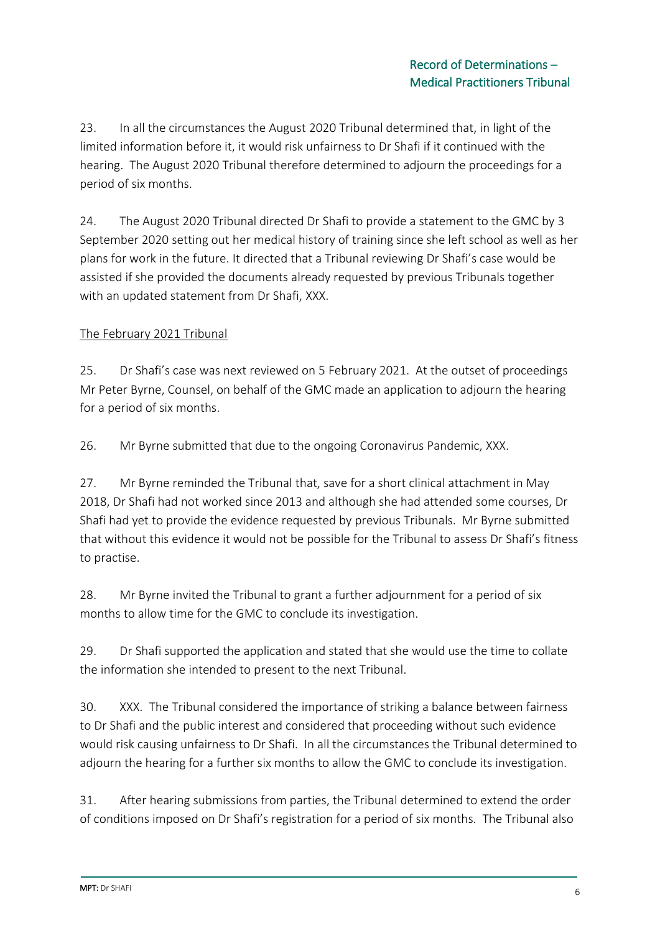23. In all the circumstances the August 2020 Tribunal determined that, in light of the limited information before it, it would risk unfairness to Dr Shafi if it continued with the hearing. The August 2020 Tribunal therefore determined to adjourn the proceedings for a period of six months.

24. The August 2020 Tribunal directed Dr Shafi to provide a statement to the GMC by 3 September 2020 setting out her medical history of training since she left school as well as her plans for work in the future. It directed that a Tribunal reviewing Dr Shafi's case would be assisted if she provided the documents already requested by previous Tribunals together with an updated statement from Dr Shafi, XXX.

## The February 2021 Tribunal

25. Dr Shafi's case was next reviewed on 5 February 2021. At the outset of proceedings Mr Peter Byrne, Counsel, on behalf of the GMC made an application to adjourn the hearing for a period of six months.

26. Mr Byrne submitted that due to the ongoing Coronavirus Pandemic, XXX.

27. Mr Byrne reminded the Tribunal that, save for a short clinical attachment in May 2018, Dr Shafi had not worked since 2013 and although she had attended some courses, Dr Shafi had yet to provide the evidence requested by previous Tribunals. Mr Byrne submitted that without this evidence it would not be possible for the Tribunal to assess Dr Shafi's fitness to practise.

28. Mr Byrne invited the Tribunal to grant a further adjournment for a period of six months to allow time for the GMC to conclude its investigation.

29. Dr Shafi supported the application and stated that she would use the time to collate the information she intended to present to the next Tribunal.

30. XXX. The Tribunal considered the importance of striking a balance between fairness to Dr Shafi and the public interest and considered that proceeding without such evidence would risk causing unfairness to Dr Shafi. In all the circumstances the Tribunal determined to adjourn the hearing for a further six months to allow the GMC to conclude its investigation.

31. After hearing submissions from parties, the Tribunal determined to extend the order of conditions imposed on Dr Shafi's registration for a period of six months. The Tribunal also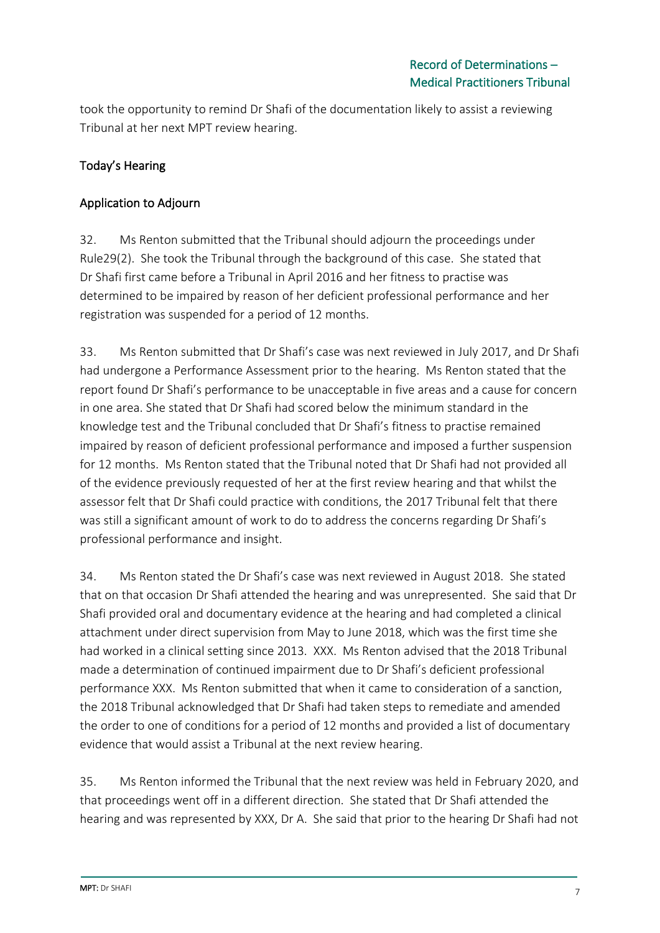took the opportunity to remind Dr Shafi of the documentation likely to assist a reviewing Tribunal at her next MPT review hearing.

# Today's Hearing

### Application to Adjourn

32. Ms Renton submitted that the Tribunal should adjourn the proceedings under Rule29(2). She took the Tribunal through the background of this case. She stated that Dr Shafi first came before a Tribunal in April 2016 and her fitness to practise was determined to be impaired by reason of her deficient professional performance and her registration was suspended for a period of 12 months.

33. Ms Renton submitted that Dr Shafi's case was next reviewed in July 2017, and Dr Shafi had undergone a Performance Assessment prior to the hearing. Ms Renton stated that the report found Dr Shafi's performance to be unacceptable in five areas and a cause for concern in one area. She stated that Dr Shafi had scored below the minimum standard in the knowledge test and the Tribunal concluded that Dr Shafi's fitness to practise remained impaired by reason of deficient professional performance and imposed a further suspension for 12 months. Ms Renton stated that the Tribunal noted that Dr Shafi had not provided all of the evidence previously requested of her at the first review hearing and that whilst the assessor felt that Dr Shafi could practice with conditions, the 2017 Tribunal felt that there was still a significant amount of work to do to address the concerns regarding Dr Shafi's professional performance and insight.

34. Ms Renton stated the Dr Shafi's case was next reviewed in August 2018. She stated that on that occasion Dr Shafi attended the hearing and was unrepresented. She said that Dr Shafi provided oral and documentary evidence at the hearing and had completed a clinical attachment under direct supervision from May to June 2018, which was the first time she had worked in a clinical setting since 2013. XXX. Ms Renton advised that the 2018 Tribunal made a determination of continued impairment due to Dr Shafi's deficient professional performance XXX. Ms Renton submitted that when it came to consideration of a sanction, the 2018 Tribunal acknowledged that Dr Shafi had taken steps to remediate and amended the order to one of conditions for a period of 12 months and provided a list of documentary evidence that would assist a Tribunal at the next review hearing.

35. Ms Renton informed the Tribunal that the next review was held in February 2020, and that proceedings went off in a different direction. She stated that Dr Shafi attended the hearing and was represented by XXX, Dr A. She said that prior to the hearing Dr Shafi had not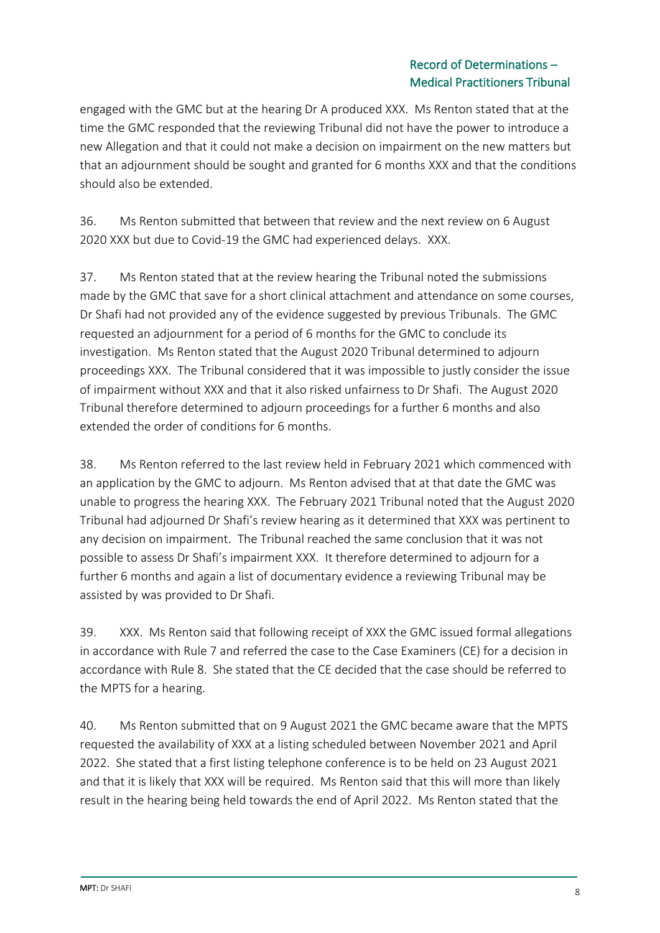### Record of Determinations – Medical Practitioners Tribunal

engaged with the GMC but at the hearing Dr A produced XXX. Ms Renton stated that at the time the GMC responded that the reviewing Tribunal did not have the power to introduce a new Allegation and that it could not make a decision on impairment on the new matters but that an adjournment should be sought and granted for 6 months XXX and that the conditions should also be extended.

36. Ms Renton submitted that between that review and the next review on 6 August 2020 XXX but due to Covid-19 the GMC had experienced delays. XXX.

37. Ms Renton stated that at the review hearing the Tribunal noted the submissions made by the GMC that save for a short clinical attachment and attendance on some courses, Dr Shafi had not provided any of the evidence suggested by previous Tribunals. The GMC requested an adjournment for a period of 6 months for the GMC to conclude its investigation. Ms Renton stated that the August 2020 Tribunal determined to adjourn proceedings XXX. The Tribunal considered that it was impossible to justly consider the issue of impairment without XXX and that it also risked unfairness to Dr Shafi. The August 2020 Tribunal therefore determined to adjourn proceedings for a further 6 months and also extended the order of conditions for 6 months.

38. Ms Renton referred to the last review held in February 2021 which commenced with an application by the GMC to adjourn. Ms Renton advised that at that date the GMC was unable to progress the hearing XXX. The February 2021 Tribunal noted that the August 2020 Tribunal had adjourned Dr Shafi's review hearing as it determined that XXX was pertinent to any decision on impairment. The Tribunal reached the same conclusion that it was not possible to assess Dr Shafi's impairment XXX. It therefore determined to adjourn for a further 6 months and again a list of documentary evidence a reviewing Tribunal may be assisted by was provided to Dr Shafi.

39. XXX. Ms Renton said that following receipt of XXX the GMC issued formal allegations in accordance with Rule 7 and referred the case to the Case Examiners (CE) for a decision in accordance with Rule 8. She stated that the CE decided that the case should be referred to the MPTS for a hearing.

40. Ms Renton submitted that on 9 August 2021 the GMC became aware that the MPTS requested the availability of XXX at a listing scheduled between November 2021 and April 2022. She stated that a first listing telephone conference is to be held on 23 August 2021 and that it is likely that XXX will be required. Ms Renton said that this will more than likely result in the hearing being held towards the end of April 2022. Ms Renton stated that the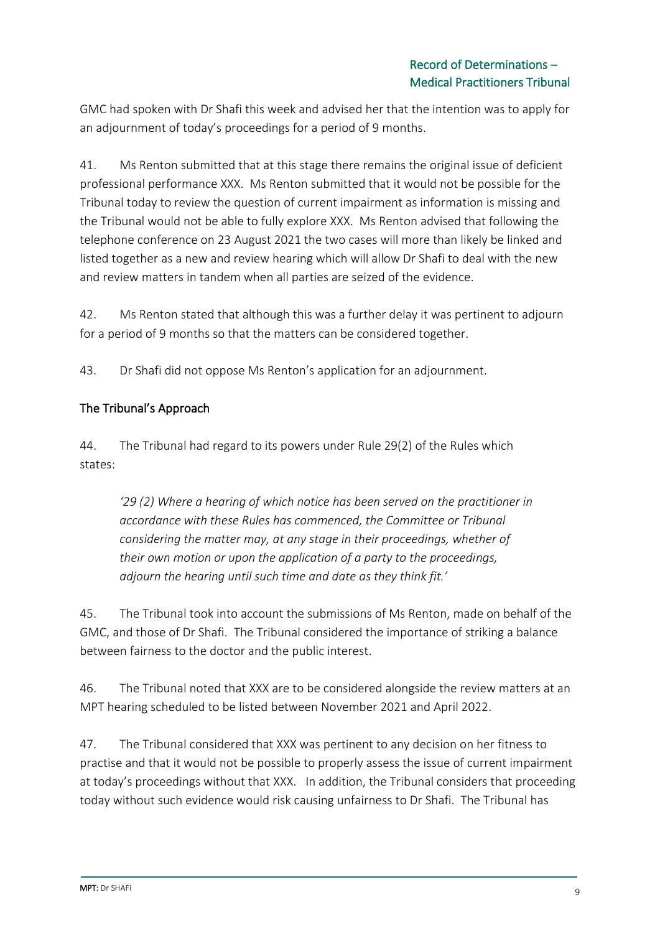GMC had spoken with Dr Shafi this week and advised her that the intention was to apply for an adjournment of today's proceedings for a period of 9 months.

41. Ms Renton submitted that at this stage there remains the original issue of deficient professional performance XXX. Ms Renton submitted that it would not be possible for the Tribunal today to review the question of current impairment as information is missing and the Tribunal would not be able to fully explore XXX. Ms Renton advised that following the telephone conference on 23 August 2021 the two cases will more than likely be linked and listed together as a new and review hearing which will allow Dr Shafi to deal with the new and review matters in tandem when all parties are seized of the evidence.

42. Ms Renton stated that although this was a further delay it was pertinent to adjourn for a period of 9 months so that the matters can be considered together.

43. Dr Shafi did not oppose Ms Renton's application for an adjournment.

## The Tribunal's Approach

44. The Tribunal had regard to its powers under Rule 29(2) of the Rules which states:

*'29 (2) Where a hearing of which notice has been served on the practitioner in accordance with these Rules has commenced, the Committee or Tribunal considering the matter may, at any stage in their proceedings, whether of their own motion or upon the application of a party to the proceedings, adjourn the hearing until such time and date as they think fit.'*

45. The Tribunal took into account the submissions of Ms Renton, made on behalf of the GMC, and those of Dr Shafi. The Tribunal considered the importance of striking a balance between fairness to the doctor and the public interest.

46. The Tribunal noted that XXX are to be considered alongside the review matters at an MPT hearing scheduled to be listed between November 2021 and April 2022.

47. The Tribunal considered that XXX was pertinent to any decision on her fitness to practise and that it would not be possible to properly assess the issue of current impairment at today's proceedings without that XXX. In addition, the Tribunal considers that proceeding today without such evidence would risk causing unfairness to Dr Shafi. The Tribunal has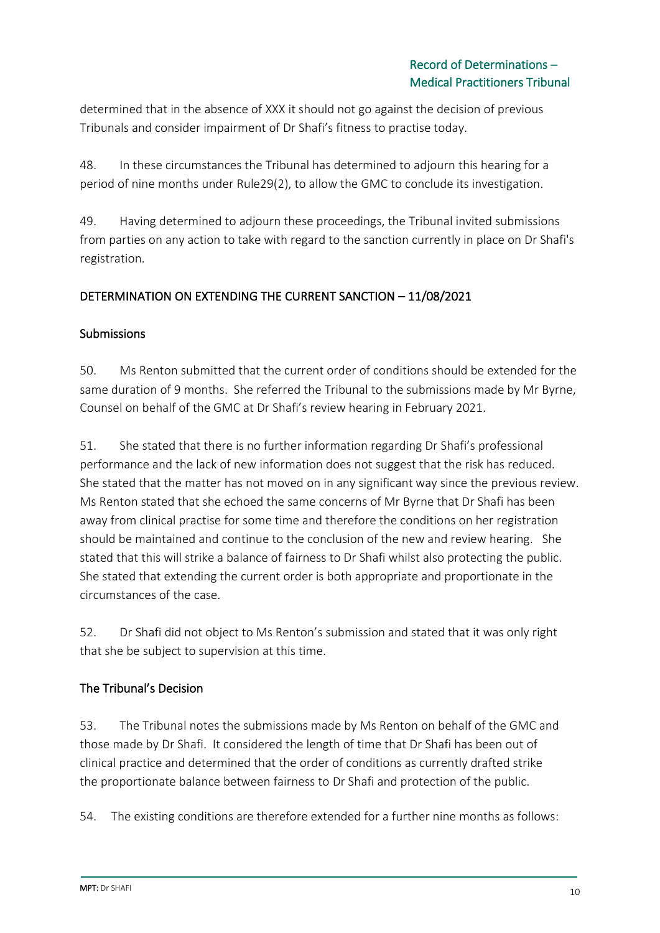determined that in the absence of XXX it should not go against the decision of previous Tribunals and consider impairment of Dr Shafi's fitness to practise today.

48. In these circumstances the Tribunal has determined to adjourn this hearing for a period of nine months under Rule29(2), to allow the GMC to conclude its investigation.

49. Having determined to adjourn these proceedings, the Tribunal invited submissions from parties on any action to take with regard to the sanction currently in place on Dr Shafi's registration.

## DETERMINATION ON EXTENDING THE CURRENT SANCTION – 11/08/2021

#### **Submissions**

50. Ms Renton submitted that the current order of conditions should be extended for the same duration of 9 months. She referred the Tribunal to the submissions made by Mr Byrne, Counsel on behalf of the GMC at Dr Shafi's review hearing in February 2021.

51. She stated that there is no further information regarding Dr Shafi's professional performance and the lack of new information does not suggest that the risk has reduced. She stated that the matter has not moved on in any significant way since the previous review. Ms Renton stated that she echoed the same concerns of Mr Byrne that Dr Shafi has been away from clinical practise for some time and therefore the conditions on her registration should be maintained and continue to the conclusion of the new and review hearing. She stated that this will strike a balance of fairness to Dr Shafi whilst also protecting the public. She stated that extending the current order is both appropriate and proportionate in the circumstances of the case.

52. Dr Shafi did not object to Ms Renton's submission and stated that it was only right that she be subject to supervision at this time.

#### The Tribunal's Decision

53. The Tribunal notes the submissions made by Ms Renton on behalf of the GMC and those made by Dr Shafi. It considered the length of time that Dr Shafi has been out of clinical practice and determined that the order of conditions as currently drafted strike the proportionate balance between fairness to Dr Shafi and protection of the public.

54. The existing conditions are therefore extended for a further nine months as follows: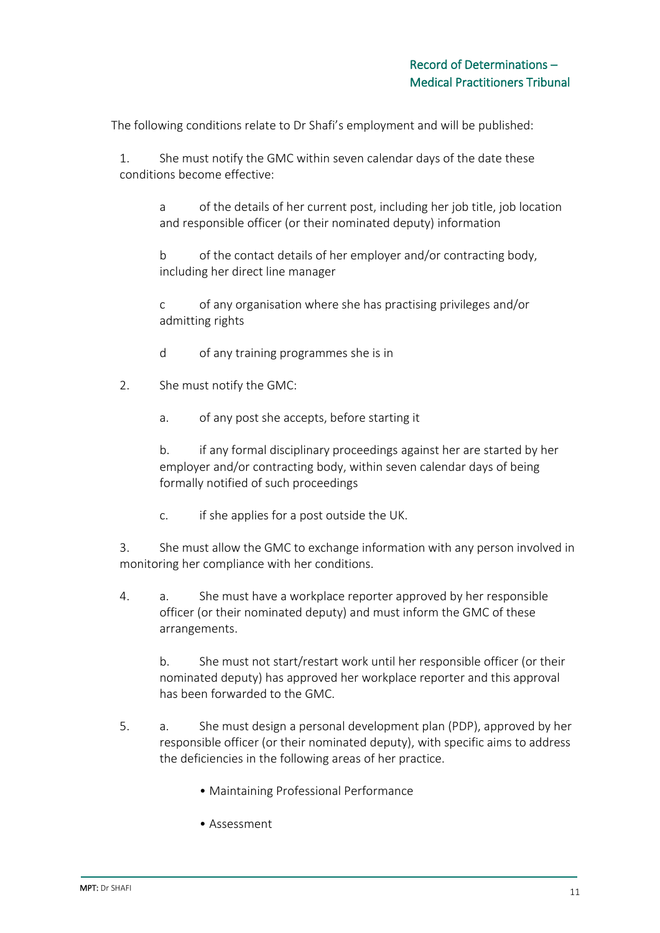The following conditions relate to Dr Shafi's employment and will be published:

1. She must notify the GMC within seven calendar days of the date these conditions become effective:

a of the details of her current post, including her job title, job location and responsible officer (or their nominated deputy) information

b of the contact details of her employer and/or contracting body, including her direct line manager

c of any organisation where she has practising privileges and/or admitting rights

- d of any training programmes she is in
- 2. She must notify the GMC:
	- a. of any post she accepts, before starting it

b. if any formal disciplinary proceedings against her are started by her employer and/or contracting body, within seven calendar days of being formally notified of such proceedings

c. if she applies for a post outside the UK.

3. She must allow the GMC to exchange information with any person involved in monitoring her compliance with her conditions.

4. a. She must have a workplace reporter approved by her responsible officer (or their nominated deputy) and must inform the GMC of these arrangements.

b. She must not start/restart work until her responsible officer (or their nominated deputy) has approved her workplace reporter and this approval has been forwarded to the GMC.

- 5. a. She must design a personal development plan (PDP), approved by her responsible officer (or their nominated deputy), with specific aims to address the deficiencies in the following areas of her practice.
	- Maintaining Professional Performance
	- Assessment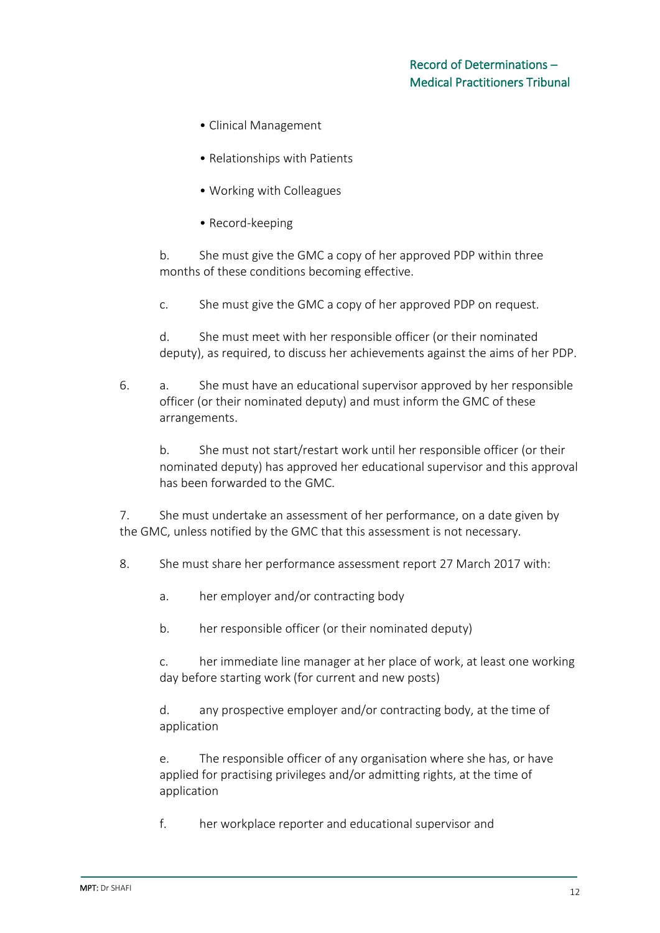- Clinical Management
- Relationships with Patients
- Working with Colleagues
- Record-keeping

b. She must give the GMC a copy of her approved PDP within three months of these conditions becoming effective.

c. She must give the GMC a copy of her approved PDP on request.

d. She must meet with her responsible officer (or their nominated deputy), as required, to discuss her achievements against the aims of her PDP.

6. a. She must have an educational supervisor approved by her responsible officer (or their nominated deputy) and must inform the GMC of these arrangements.

b. She must not start/restart work until her responsible officer (or their nominated deputy) has approved her educational supervisor and this approval has been forwarded to the GMC.

7. She must undertake an assessment of her performance, on a date given by the GMC, unless notified by the GMC that this assessment is not necessary.

- 8. She must share her performance assessment report 27 March 2017 with:
	- a. her employer and/or contracting body
	- b. her responsible officer (or their nominated deputy)

c. her immediate line manager at her place of work, at least one working day before starting work (for current and new posts)

d. any prospective employer and/or contracting body, at the time of application

e. The responsible officer of any organisation where she has, or have applied for practising privileges and/or admitting rights, at the time of application

f. her workplace reporter and educational supervisor and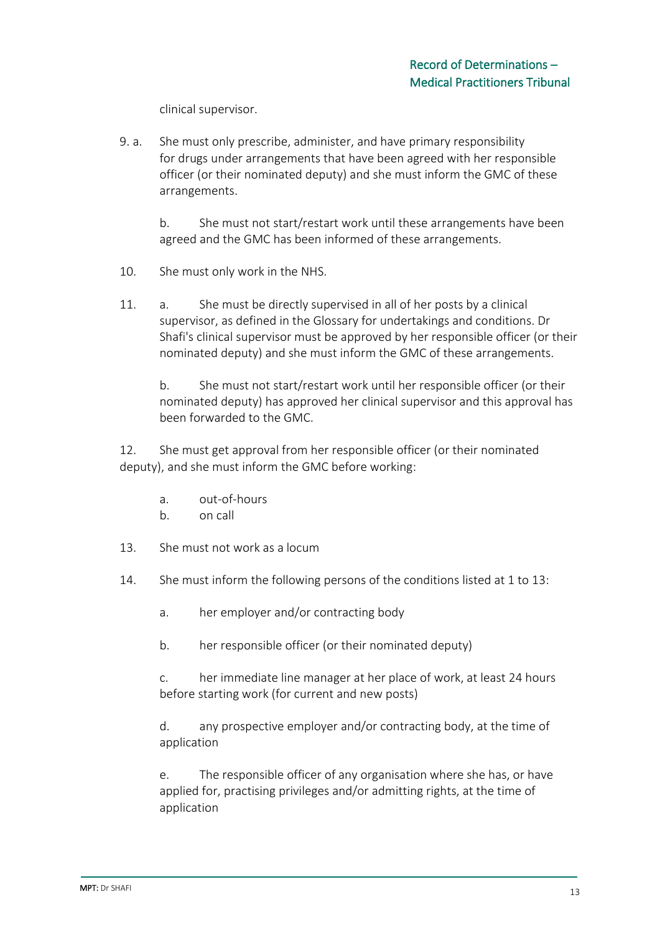clinical supervisor.

9. a. She must only prescribe, administer, and have primary responsibility for drugs under arrangements that have been agreed with her responsible officer (or their nominated deputy) and she must inform the GMC of these arrangements.

b. She must not start/restart work until these arrangements have been agreed and the GMC has been informed of these arrangements.

- 10. She must only work in the NHS.
- 11. a. She must be directly supervised in all of her posts by a clinical supervisor, as defined in the Glossary for undertakings and conditions. Dr Shafi's clinical supervisor must be approved by her responsible officer (or their nominated deputy) and she must inform the GMC of these arrangements.

b. She must not start/restart work until her responsible officer (or their nominated deputy) has approved her clinical supervisor and this approval has been forwarded to the GMC.

12. She must get approval from her responsible officer (or their nominated deputy), and she must inform the GMC before working:

- a. out-of-hours
- b. on call
- 13. She must not work as a locum
- 14. She must inform the following persons of the conditions listed at 1 to 13:
	- a. her employer and/or contracting body
	- b. her responsible officer (or their nominated deputy)

c. her immediate line manager at her place of work, at least 24 hours before starting work (for current and new posts)

d. any prospective employer and/or contracting body, at the time of application

e. The responsible officer of any organisation where she has, or have applied for, practising privileges and/or admitting rights, at the time of application